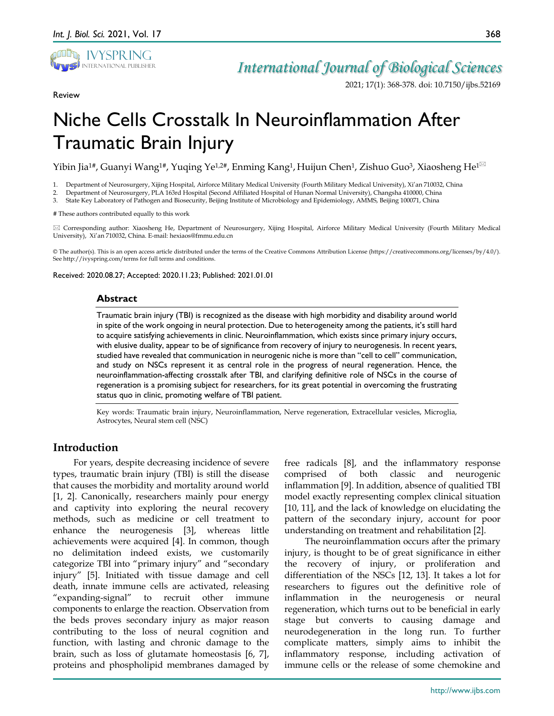

Review

## *International Journal of Biological Sciences*

2021; 17(1): 368-378. doi: 10.7150/ijbs.52169

# Niche Cells Crosstalk In Neuroinflammation After Traumatic Brain Injury

Yibin Jia<sup>1#</sup>, Guanyi Wang<sup>1#</sup>, Yuqing Ye<sup>1,2#</sup>, Enming Kang<sup>1</sup>, Huijun Chen<sup>1</sup>, Zishuo Guo<sup>3</sup>, Xiaosheng He<sup>1⊠</sup>

1. Department of Neurosurgery, Xijing Hospital, Airforce Military Medical University (Fourth Military Medical University), Xi'an 710032, China

2. Department of Neurosurgery, PLA 163rd Hospital (Second Affiliated Hospital of Hunan Normal University), Changsha 410000, China

3. State Key Laboratory of Pathogen and Biosecurity, Beijing Institute of Microbiology and Epidemiology, AMMS, Beijing 100071, China

# These authors contributed equally to this work

 Corresponding author: Xiaosheng He, Department of Neurosurgery, Xijing Hospital, Airforce Military Medical University (Fourth Military Medical University), Xi'an 710032, China. E-mail: hexiaos@fmmu.edu.cn

© The author(s). This is an open access article distributed under the terms of the Creative Commons Attribution License (https://creativecommons.org/licenses/by/4.0/). See http://ivyspring.com/terms for full terms and conditions.

Received: 2020.08.27; Accepted: 2020.11.23; Published: 2021.01.01

## **Abstract**

Traumatic brain injury (TBI) is recognized as the disease with high morbidity and disability around world in spite of the work ongoing in neural protection. Due to heterogeneity among the patients, it's still hard to acquire satisfying achievements in clinic. Neuroinflammation, which exists since primary injury occurs, with elusive duality, appear to be of significance from recovery of injury to neurogenesis. In recent years, studied have revealed that communication in neurogenic niche is more than "cell to cell" communication, and study on NSCs represent it as central role in the progress of neural regeneration. Hence, the neuroinflammation-affecting crosstalk after TBI, and clarifying definitive role of NSCs in the course of regeneration is a promising subject for researchers, for its great potential in overcoming the frustrating status quo in clinic, promoting welfare of TBI patient.

Key words: Traumatic brain injury, Neuroinflammation, Nerve regeneration, Extracellular vesicles, Microglia, Astrocytes, Neural stem cell (NSC)

## **Introduction**

For years, despite decreasing incidence of severe types, traumatic brain injury (TBI) is still the disease that causes the morbidity and mortality around world [1, 2]. Canonically, researchers mainly pour energy and captivity into exploring the neural recovery methods, such as medicine or cell treatment to enhance the neurogenesis [3], whereas little achievements were acquired [4]. In common, though no delimitation indeed exists, we customarily categorize TBI into "primary injury" and "secondary injury" [5]. Initiated with tissue damage and cell death, innate immune cells are activated, releasing "expanding-signal" to recruit other immune components to enlarge the reaction. Observation from the beds proves secondary injury as major reason contributing to the loss of neural cognition and function, with lasting and chronic damage to the brain, such as loss of glutamate homeostasis [6, 7], proteins and phospholipid membranes damaged by

free radicals [8], and the inflammatory response comprised of both classic and neurogenic inflammation [9]. In addition, absence of qualitied TBI model exactly representing complex clinical situation [10, 11], and the lack of knowledge on elucidating the pattern of the secondary injury, account for poor understanding on treatment and rehabilitation [2].

The neuroinflammation occurs after the primary injury, is thought to be of great significance in either the recovery of injury, or proliferation and differentiation of the NSCs [12, 13]. It takes a lot for researchers to figures out the definitive role of inflammation in the neurogenesis or neural regeneration, which turns out to be beneficial in early stage but converts to causing damage and neurodegeneration in the long run. To further complicate matters, simply aims to inhibit the inflammatory response, including activation of immune cells or the release of some chemokine and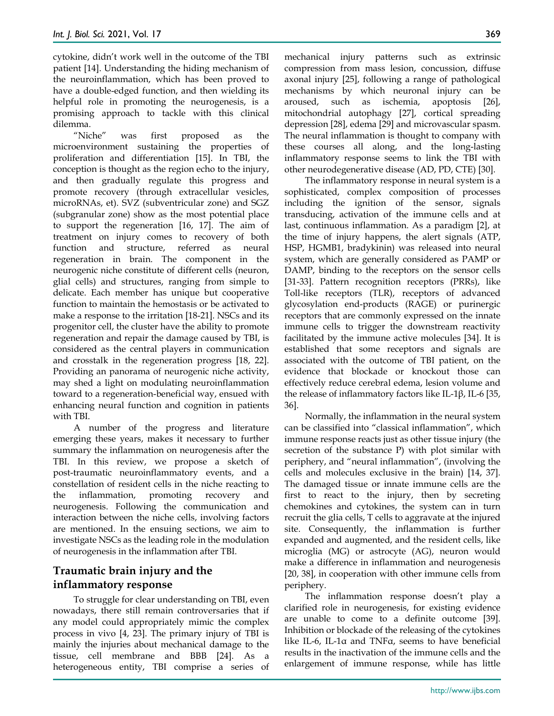cytokine, didn't work well in the outcome of the TBI patient [14]. Understanding the hiding mechanism of the neuroinflammation, which has been proved to have a double-edged function, and then wielding its helpful role in promoting the neurogenesis, is a promising approach to tackle with this clinical dilemma.

"Niche" was first proposed as the microenvironment sustaining the properties of proliferation and differentiation [15]. In TBI, the conception is thought as the region echo to the injury, and then gradually regulate this progress and promote recovery (through extracellular vesicles, microRNAs, et). SVZ (subventricular zone) and SGZ (subgranular zone) show as the most potential place to support the regeneration [16, 17]. The aim of treatment on injury comes to recovery of both function and structure, referred as neural regeneration in brain. The component in the neurogenic niche constitute of different cells (neuron, glial cells) and structures, ranging from simple to delicate. Each member has unique but cooperative function to maintain the hemostasis or be activated to make a response to the irritation [18-21]. NSCs and its progenitor cell, the cluster have the ability to promote regeneration and repair the damage caused by TBI, is considered as the central players in communication and crosstalk in the regeneration progress [18, 22]. Providing an panorama of neurogenic niche activity, may shed a light on modulating neuroinflammation toward to a regeneration-beneficial way, ensued with enhancing neural function and cognition in patients with TBI.

A number of the progress and literature emerging these years, makes it necessary to further summary the inflammation on neurogenesis after the TBI. In this review, we propose a sketch of post-traumatic neuroinflammatory events, and a constellation of resident cells in the niche reacting to the inflammation, promoting recovery and neurogenesis. Following the communication and interaction between the niche cells, involving factors are mentioned. In the ensuing sections, we aim to investigate NSCs as the leading role in the modulation of neurogenesis in the inflammation after TBI.

## **Traumatic brain injury and the inflammatory response**

To struggle for clear understanding on TBI, even nowadays, there still remain controversaries that if any model could appropriately mimic the complex process in vivo [4, 23]. The primary injury of TBI is mainly the injuries about mechanical damage to the tissue, cell membrane and BBB [24]. As a heterogeneous entity, TBI comprise a series of

mechanical injury patterns such as extrinsic compression from mass lesion, concussion, diffuse axonal injury [25], following a range of pathological mechanisms by which neuronal injury can be aroused, such as ischemia, apoptosis [26], mitochondrial autophagy [27], cortical spreading depression [28], edema [29] and microvascular spasm. The neural inflammation is thought to company with these courses all along, and the long-lasting inflammatory response seems to link the TBI with other neurodegenerative disease (AD, PD, CTE) [30].

The inflammatory response in neural system is a sophisticated, complex composition of processes including the ignition of the sensor, signals transducing, activation of the immune cells and at last, continuous inflammation. As a paradigm [2], at the time of injury happens, the alert signals (ATP, HSP, HGMB1, bradykinin) was released into neural system, which are generally considered as PAMP or DAMP, binding to the receptors on the sensor cells [31-33]. Pattern recognition receptors (PRRs), like Toll-like receptors (TLR), receptors of advanced glycosylation end-products (RAGE) or purinergic receptors that are commonly expressed on the innate immune cells to trigger the downstream reactivity facilitated by the immune active molecules [34]. It is established that some receptors and signals are associated with the outcome of TBI patient, on the evidence that blockade or knockout those can effectively reduce cerebral edema, lesion volume and the release of inflammatory factors like IL-1β, IL-6 [35, 36].

Normally, the inflammation in the neural system can be classified into "classical inflammation", which immune response reacts just as other tissue injury (the secretion of the substance P) with plot similar with periphery, and "neural inflammation", (involving the cells and molecules exclusive in the brain) [14, 37]. The damaged tissue or innate immune cells are the first to react to the injury, then by secreting chemokines and cytokines, the system can in turn recruit the glia cells, T cells to aggravate at the injured site. Consequently, the inflammation is further expanded and augmented, and the resident cells, like microglia (MG) or astrocyte (AG), neuron would make a difference in inflammation and neurogenesis [20, 38], in cooperation with other immune cells from periphery.

The inflammation response doesn't play a clarified role in neurogenesis, for existing evidence are unable to come to a definite outcome [39]. Inhibition or blockade of the releasing of the cytokines like IL-6, IL-1α and TNFα, seems to have beneficial results in the inactivation of the immune cells and the enlargement of immune response, while has little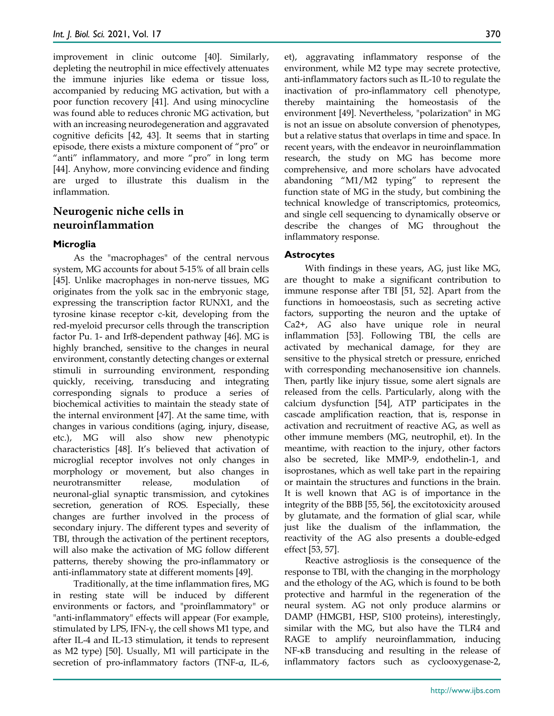improvement in clinic outcome [40]. Similarly, depleting the neutrophil in mice effectively attenuates the immune injuries like edema or tissue loss, accompanied by reducing MG activation, but with a poor function recovery [41]. And using minocycline was found able to reduces chronic MG activation, but with an increasing neurodegeneration and aggravated cognitive deficits [42, 43]. It seems that in starting episode, there exists a mixture component of "pro" or "anti" inflammatory, and more "pro" in long term [44]. Anyhow, more convincing evidence and finding are urged to illustrate this dualism in the inflammation.

## **Neurogenic niche cells in neuroinflammation**

## **Microglia**

As the "macrophages" of the central nervous system, MG accounts for about 5-15% of all brain cells [45]. Unlike macrophages in non-nerve tissues, MG originates from the yolk sac in the embryonic stage, expressing the transcription factor RUNX1, and the tyrosine kinase receptor c-kit, developing from the red-myeloid precursor cells through the transcription factor Pu. 1- and Irf8-dependent pathway [46]. MG is highly branched, sensitive to the changes in neural environment, constantly detecting changes or external stimuli in surrounding environment, responding quickly, receiving, transducing and integrating corresponding signals to produce a series of biochemical activities to maintain the steady state of the internal environment [47]. At the same time, with changes in various conditions (aging, injury, disease, etc.), MG will also show new phenotypic characteristics [48]. It's believed that activation of microglial receptor involves not only changes in morphology or movement, but also changes in neurotransmitter release, modulation of neuronal-glial synaptic transmission, and cytokines secretion, generation of ROS. Especially, these changes are further involved in the process of secondary injury. The different types and severity of TBI, through the activation of the pertinent receptors, will also make the activation of MG follow different patterns, thereby showing the pro-inflammatory or anti-inflammatory state at different moments [49].

Traditionally, at the time inflammation fires, MG in resting state will be induced by different environments or factors, and "proinflammatory" or "anti-inflammatory" effects will appear (For example, stimulated by LPS, IFN- $\gamma$ , the cell shows M1 type, and after IL-4 and IL-13 stimulation, it tends to represent as M2 type) [50]. Usually, M1 will participate in the secretion of pro-inflammatory factors (TNF-α, IL-6,

et), aggravating inflammatory response of the environment, while M2 type may secrete protective, anti-inflammatory factors such as IL-10 to regulate the inactivation of pro-inflammatory cell phenotype, thereby maintaining the homeostasis of the environment [49]. Nevertheless, "polarization" in MG is not an issue on absolute conversion of phenotypes, but a relative status that overlaps in time and space. In recent years, with the endeavor in neuroinflammation research, the study on MG has become more comprehensive, and more scholars have advocated abandoning "M1/M2 typing" to represent the function state of MG in the study, but combining the technical knowledge of transcriptomics, proteomics, and single cell sequencing to dynamically observe or describe the changes of MG throughout the inflammatory response.

## **Astrocytes**

With findings in these years, AG, just like MG, are thought to make a significant contribution to immune response after TBI [51, 52]. Apart from the functions in homoeostasis, such as secreting active factors, supporting the neuron and the uptake of Ca2+, AG also have unique role in neural inflammation [53]. Following TBI, the cells are activated by mechanical damage, for they are sensitive to the physical stretch or pressure, enriched with corresponding mechanosensitive ion channels. Then, partly like injury tissue, some alert signals are released from the cells. Particularly, along with the calcium dysfunction [54], ATP participates in the cascade amplification reaction, that is, response in activation and recruitment of reactive AG, as well as other immune members (MG, neutrophil, et). In the meantime, with reaction to the injury, other factors also be secreted, like MMP-9, endothelin-1, and isoprostanes, which as well take part in the repairing or maintain the structures and functions in the brain. It is well known that AG is of importance in the integrity of the BBB [55, 56], the excitotoxicity aroused by glutamate, and the formation of glial scar, while just like the dualism of the inflammation, the reactivity of the AG also presents a double-edged effect [53, 57].

Reactive astrogliosis is the consequence of the response to TBI, with the changing in the morphology and the ethology of the AG, which is found to be both protective and harmful in the regeneration of the neural system. AG not only produce alarmins or DAMP (HMGB1, HSP, S100 proteins), interestingly, similar with the MG, but also have the TLR4 and RAGE to amplify neuroinflammation, inducing NF-κB transducing and resulting in the release of inflammatory factors such as cyclooxygenase-2,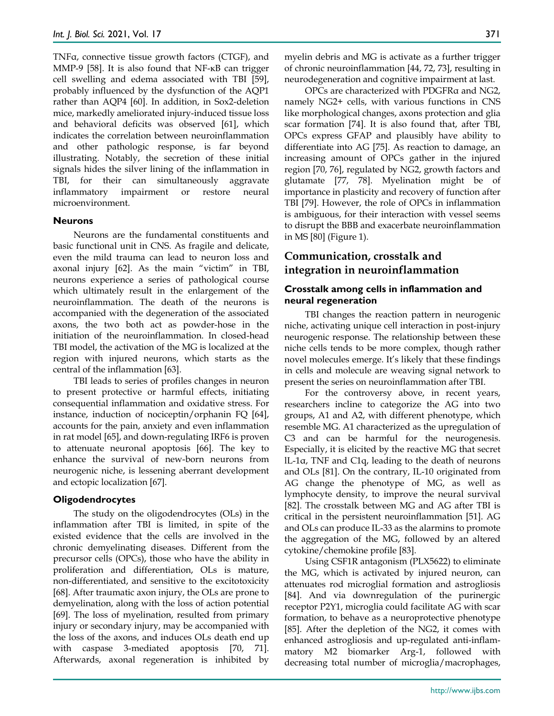TNFα, connective tissue growth factors (CTGF), and MMP-9 [58]. It is also found that NF-κB can trigger cell swelling and edema associated with TBI [59], probably influenced by the dysfunction of the AQP1 rather than AQP4 [60]. In addition, in Sox2-deletion mice, markedly ameliorated injury-induced tissue loss and behavioral deficits was observed [61], which indicates the correlation between neuroinflammation and other pathologic response, is far beyond illustrating. Notably, the secretion of these initial signals hides the silver lining of the inflammation in TBI, for their can simultaneously aggravate inflammatory impairment or restore neural microenvironment.

## **Neurons**

Neurons are the fundamental constituents and basic functional unit in CNS. As fragile and delicate, even the mild trauma can lead to neuron loss and axonal injury [62]. As the main "victim" in TBI, neurons experience a series of pathological course which ultimately result in the enlargement of the neuroinflammation. The death of the neurons is accompanied with the degeneration of the associated axons, the two both act as powder-hose in the initiation of the neuroinflammation. In closed-head TBI model, the activation of the MG is localized at the region with injured neurons, which starts as the central of the inflammation [63].

TBI leads to series of profiles changes in neuron to present protective or harmful effects, initiating consequential inflammation and oxidative stress. For instance, induction of nociceptin/orphanin FQ [64], accounts for the pain, anxiety and even inflammation in rat model [65], and down-regulating IRF6 is proven to attenuate neuronal apoptosis [66]. The key to enhance the survival of new-born neurons from neurogenic niche, is lessening aberrant development and ectopic localization [67].

#### **Oligodendrocytes**

The study on the oligodendrocytes (OLs) in the inflammation after TBI is limited, in spite of the existed evidence that the cells are involved in the chronic demyelinating diseases. Different from the precursor cells (OPCs), those who have the ability in proliferation and differentiation, OLs is mature, non-differentiated, and sensitive to the excitotoxicity [68]. After traumatic axon injury, the OLs are prone to demyelination, along with the loss of action potential [69]. The loss of myelination, resulted from primary injury or secondary injury, may be accompanied with the loss of the axons, and induces OLs death end up with caspase 3-mediated apoptosis [70, 71]. Afterwards, axonal regeneration is inhibited by myelin debris and MG is activate as a further trigger of chronic neuroinflammation [44, 72, 73], resulting in neurodegeneration and cognitive impairment at last.

OPCs are characterized with PDGFRα and NG2, namely NG2+ cells, with various functions in CNS like morphological changes, axons protection and glia scar formation [74]. It is also found that, after TBI, OPCs express GFAP and plausibly have ability to differentiate into AG [75]. As reaction to damage, an increasing amount of OPCs gather in the injured region [70, 76], regulated by NG2, growth factors and glutamate [77, 78]. Myelination might be of importance in plasticity and recovery of function after TBI [79]. However, the role of OPCs in inflammation is ambiguous, for their interaction with vessel seems to disrupt the BBB and exacerbate neuroinflammation in MS [80] (Figure 1).

## **Communication, crosstalk and integration in neuroinflammation**

## **Crosstalk among cells in inflammation and neural regeneration**

TBI changes the reaction pattern in neurogenic niche, activating unique cell interaction in post-injury neurogenic response. The relationship between these niche cells tends to be more complex, though rather novel molecules emerge. It's likely that these findings in cells and molecule are weaving signal network to present the series on neuroinflammation after TBI.

For the controversy above, in recent years, researchers incline to categorize the AG into two groups, A1 and A2, with different phenotype, which resemble MG. A1 characterized as the upregulation of C3 and can be harmful for the neurogenesis. Especially, it is elicited by the reactive MG that secret lL-1α, TNF and C1q, leading to the death of neurons and OLs [81]. On the contrary, IL-10 originated from AG change the phenotype of MG, as well as lymphocyte density, to improve the neural survival [82]. The crosstalk between MG and AG after TBI is critical in the persistent neuroinflammation [51]. AG and OLs can produce IL-33 as the alarmins to promote the aggregation of the MG, followed by an altered cytokine/chemokine profile [83].

Using CSF1R antagonism (PLX5622) to eliminate the MG, which is activated by injured neuron, can attenuates rod microglial formation and astrogliosis [84]. And via downregulation of the purinergic receptor P2Y1, microglia could facilitate AG with scar formation, to behave as a neuroprotective phenotype [85]. After the depletion of the NG2, it comes with enhanced astrogliosis and up-regulated anti-inflammatory M2 biomarker Arg-1, followed with decreasing total number of microglia/macrophages,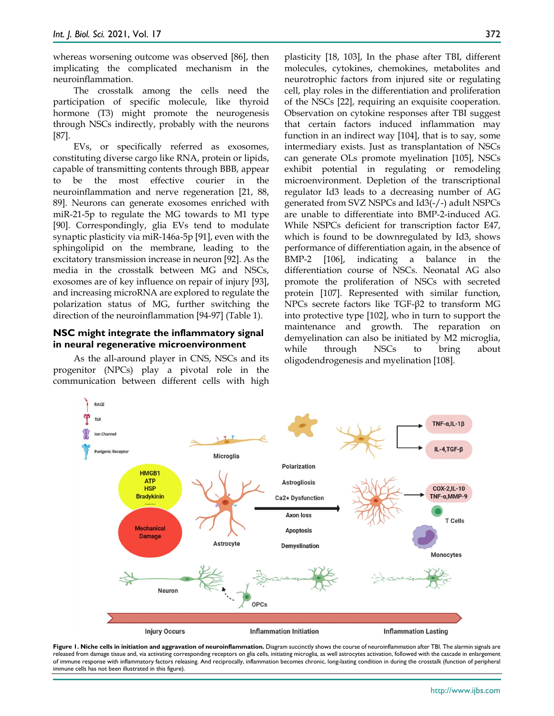whereas worsening outcome was observed [86], then implicating the complicated mechanism in the neuroinflammation.

The crosstalk among the cells need the participation of specific molecule, like thyroid hormone (T3) might promote the neurogenesis through NSCs indirectly, probably with the neurons [87].

EVs, or specifically referred as exosomes, constituting diverse cargo like RNA, protein or lipids, capable of transmitting contents through BBB, appear to be the most effective courier in the neuroinflammation and nerve regeneration [21, 88, 89]. Neurons can generate exosomes enriched with miR-21-5p to regulate the MG towards to M1 type [90]. Correspondingly, glia EVs tend to modulate synaptic plasticity via miR-146a-5p [91], even with the sphingolipid on the membrane, leading to the excitatory transmission increase in neuron [92]. As the media in the crosstalk between MG and NSCs, exosomes are of key influence on repair of injury [93], and increasing microRNA are explored to regulate the polarization status of MG, further switching the direction of the neuroinflammation [94-97] (Table 1).

## **NSC might integrate the inflammatory signal in neural regenerative microenvironment**

As the all-around player in CNS, NSCs and its progenitor (NPCs) play a pivotal role in the communication between different cells with high

plasticity [18, 103], In the phase after TBI, different molecules, cytokines, chemokines, metabolites and neurotrophic factors from injured site or regulating cell, play roles in the differentiation and proliferation of the NSCs [22], requiring an exquisite cooperation. Observation on cytokine responses after TBI suggest that certain factors induced inflammation may function in an indirect way [104], that is to say, some intermediary exists. Just as transplantation of NSCs can generate OLs promote myelination [105], NSCs exhibit potential in regulating or remodeling microenvironment. Depletion of the transcriptional regulator Id3 leads to a decreasing number of AG generated from SVZ NSPCs and Id3(-/-) adult NSPCs are unable to differentiate into BMP-2-induced AG. While NSPCs deficient for transcription factor E47, which is found to be downregulated by Id3, shows performance of differentiation again, in the absence of BMP-2 [106], indicating a balance in the differentiation course of NSCs. Neonatal AG also promote the proliferation of NSCs with secreted protein [107]. Represented with similar function, NPCs secrete factors like TGF-β2 to transform MG into protective type [102], who in turn to support the maintenance and growth. The reparation on demyelination can also be initiated by M2 microglia, while through NSCs to bring about oligodendrogenesis and myelination [108].



Figure 1. Niche cells in initiation and aggravation of neuroinflammation. Diagram succinctly shows the course of neuroinflammation after TBI. The alarmin signals are released from damage tissue and, via activating corresponding receptors on glia cells, initiating microglia, as well astrocytes activation, followed with the cascade in enlargement of immune response with inflammatory factors releasing. And reciprocally, inflammation becomes chronic, long-lasting condition in during the crosstalk (function of peripheral immune cells has not been illustrated in this figure).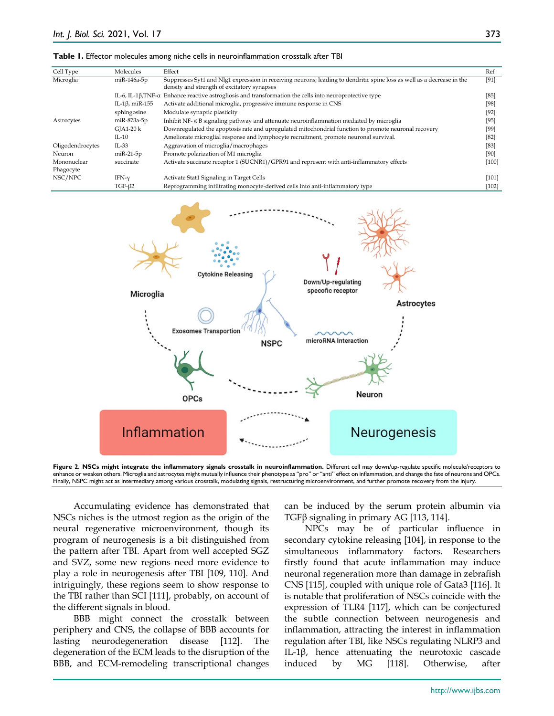#### **Table 1.** Effector molecules among niche cells in neuroinflammation crosstalk after TBI

| Cell Type        | Molecules                          | Effect                                                                                                                                                                | Ref     |
|------------------|------------------------------------|-----------------------------------------------------------------------------------------------------------------------------------------------------------------------|---------|
| Microglia        | miR-146a-5p                        | Suppresses Syt1 and Nlg1 expression in receiving neurons; leading to dendritic spine loss as well as a decrease in the<br>density and strength of excitatory synapses | [91]    |
|                  | IL-6, IL-1 $\beta$ , TNF- $\alpha$ | Enhance reactive astrogliosis and transformation the cells into neuroprotective type                                                                                  | [85]    |
|                  | IL-1 $\beta$ , miR-155             | Activate additional microglia, progressive immune response in CNS                                                                                                     | [98]    |
|                  | sphingosine                        | Modulate synaptic plasticity                                                                                                                                          | [92]    |
| Astrocytes       | miR-873a-5p                        | Inhibit NF- $\kappa$ B signaling pathway and attenuate neuroinflammation mediated by microglia                                                                        | $[95]$  |
|                  | $GIA1-20 k$                        | Downregulated the apoptosis rate and upregulated mitochondrial function to promote neuronal recovery                                                                  | [99]    |
|                  | $IL-10$                            | Ameliorate microglial response and lymphocyte recruitment, promote neuronal survival.                                                                                 | [82]    |
| Oligodendrocytes | $IL-33$                            | Aggravation of microglia/macrophages                                                                                                                                  | [83]    |
| Neuron           | $m$ i $R-21-5p$                    | Promote polarization of M1 microglia                                                                                                                                  | [90]    |
| Mononuclear      | succinate                          | Activate succinate receptor 1 (SUCNR1)/GPR91 and represent with anti-inflammatory effects                                                                             | [100]   |
| Phagocyte        |                                    |                                                                                                                                                                       |         |
| NSC/NPC          | $IFN-v$                            | Activate Stat1 Signaling in Target Cells                                                                                                                              | $[101]$ |
|                  | $TGF-\beta2$                       | Reprogramming infiltrating monocyte-derived cells into anti-inflammatory type                                                                                         | $[102]$ |



**Figure 2. NSCs might integrate the inflammatory signals crosstalk in neuroinflammation.** Different cell may down/up-regulate specific molecule/receptors to enhance or weaken others. Microglia and astrocytes might mutually influence their phenotype as "pro" or "anti" effect on inflammation, and change the fate of neurons and OPCs. Finally, NSPC might act as intermediary among various crosstalk, modulating signals, restructuring microenvironment, and further promote recovery from the injury.

Accumulating evidence has demonstrated that NSCs niches is the utmost region as the origin of the neural regenerative microenvironment, though its program of neurogenesis is a bit distinguished from the pattern after TBI. Apart from well accepted SGZ and SVZ, some new regions need more evidence to play a role in neurogenesis after TBI [109, 110]. And intriguingly, these regions seem to show response to the TBI rather than SCI [111], probably, on account of the different signals in blood.

BBB might connect the crosstalk between periphery and CNS, the collapse of BBB accounts for lasting neurodegeneration disease [112]. The degeneration of the ECM leads to the disruption of the BBB, and ECM-remodeling transcriptional changes can be induced by the serum protein albumin via TGFβ signaling in primary AG [113, 114].

NPCs may be of particular influence in secondary cytokine releasing [104], in response to the simultaneous inflammatory factors. Researchers firstly found that acute inflammation may induce neuronal regeneration more than damage in zebrafish CNS [115], coupled with unique role of Gata3 [116]. It is notable that proliferation of NSCs coincide with the expression of TLR4 [117], which can be conjectured the subtle connection between neurogenesis and inflammation, attracting the interest in inflammation regulation after TBI, like NSCs regulating NLRP3 and IL-1β, hence attenuating the neurotoxic cascade induced by MG [118]. Otherwise, after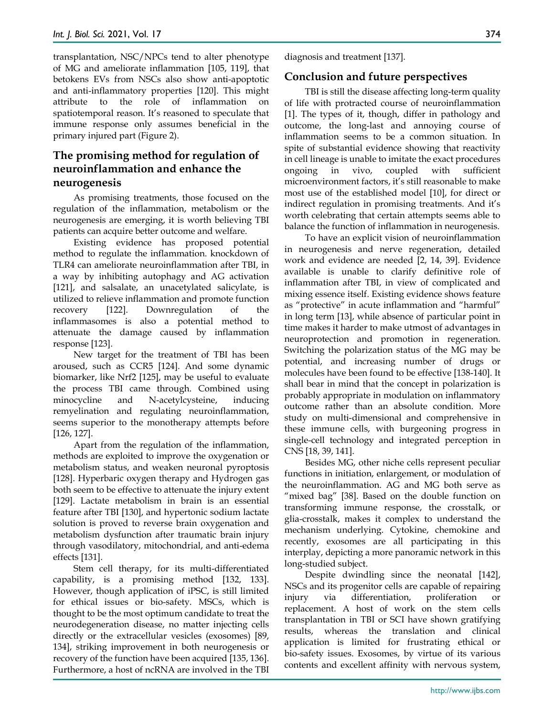transplantation, NSC/NPCs tend to alter phenotype of MG and ameliorate inflammation [105, 119], that betokens EVs from NSCs also show anti-apoptotic and anti-inflammatory properties [120]. This might attribute to the role of inflammation on spatiotemporal reason. It's reasoned to speculate that immune response only assumes beneficial in the primary injured part (Figure 2).

## **The promising method for regulation of neuroinflammation and enhance the neurogenesis**

As promising treatments, those focused on the regulation of the inflammation, metabolism or the neurogenesis are emerging, it is worth believing TBI patients can acquire better outcome and welfare.

Existing evidence has proposed potential method to regulate the inflammation. knockdown of TLR4 can ameliorate neuroinflammation after TBI, in a way by inhibiting autophagy and AG activation [121], and salsalate, an unacetylated salicylate, is utilized to relieve inflammation and promote function recovery [122]. Downregulation of the inflammasomes is also a potential method to attenuate the damage caused by inflammation response [123].

New target for the treatment of TBI has been aroused, such as CCR5 [124]. And some dynamic biomarker, like Nrf2 [125], may be useful to evaluate the process TBI came through. Combined using minocycline and N-acetylcysteine, inducing remyelination and regulating neuroinflammation, seems superior to the monotherapy attempts before [126, 127].

Apart from the regulation of the inflammation, methods are exploited to improve the oxygenation or metabolism status, and weaken neuronal pyroptosis [128]. Hyperbaric oxygen therapy and Hydrogen gas both seem to be effective to attenuate the injury extent [129]. Lactate metabolism in brain is an essential feature after TBI [130], and hypertonic sodium lactate solution is proved to reverse brain oxygenation and metabolism dysfunction after traumatic brain injury through vasodilatory, mitochondrial, and anti-edema effects [131].

Stem cell therapy, for its multi-differentiated capability, is a promising method [132, 133]. However, though application of iPSC, is still limited for ethical issues or bio-safety. MSCs, which is thought to be the most optimum candidate to treat the neurodegeneration disease, no matter injecting cells directly or the extracellular vesicles (exosomes) [89, 134], striking improvement in both neurogenesis or recovery of the function have been acquired [135, 136]. Furthermore, a host of ncRNA are involved in the TBI

diagnosis and treatment [137].

## **Conclusion and future perspectives**

TBI is still the disease affecting long-term quality of life with protracted course of neuroinflammation [1]. The types of it, though, differ in pathology and outcome, the long-last and annoying course of inflammation seems to be a common situation. In spite of substantial evidence showing that reactivity in cell lineage is unable to imitate the exact procedures ongoing in vivo, coupled with sufficient microenvironment factors, it's still reasonable to make most use of the established model [10], for direct or indirect regulation in promising treatments. And it's worth celebrating that certain attempts seems able to balance the function of inflammation in neurogenesis.

To have an explicit vision of neuroinflammation in neurogenesis and nerve regeneration, detailed work and evidence are needed [2, 14, 39]. Evidence available is unable to clarify definitive role of inflammation after TBI, in view of complicated and mixing essence itself. Existing evidence shows feature as "protective" in acute inflammation and "harmful" in long term [13], while absence of particular point in time makes it harder to make utmost of advantages in neuroprotection and promotion in regeneration. Switching the polarization status of the MG may be potential, and increasing number of drugs or molecules have been found to be effective [138-140]. It shall bear in mind that the concept in polarization is probably appropriate in modulation on inflammatory outcome rather than an absolute condition. More study on multi-dimensional and comprehensive in these immune cells, with burgeoning progress in single-cell technology and integrated perception in CNS [18, 39, 141].

Besides MG, other niche cells represent peculiar functions in initiation, enlargement, or modulation of the neuroinflammation. AG and MG both serve as "mixed bag" [38]. Based on the double function on transforming immune response, the crosstalk, or glia-crosstalk, makes it complex to understand the mechanism underlying. Cytokine, chemokine and recently, exosomes are all participating in this interplay, depicting a more panoramic network in this long-studied subject.

Despite dwindling since the neonatal [142], NSCs and its progenitor cells are capable of repairing injury via differentiation, proliferation or replacement. A host of work on the stem cells transplantation in TBI or SCI have shown gratifying results, whereas the translation and clinical application is limited for frustrating ethical or bio-safety issues. Exosomes, by virtue of its various contents and excellent affinity with nervous system,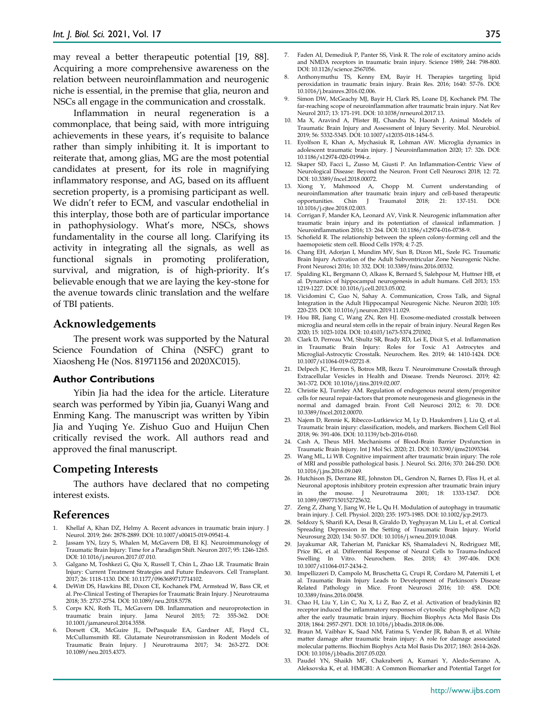may reveal a better therapeutic potential [19, 88]. Acquiring a more comprehensive awareness on the relation between neuroinflammation and neurogenic niche is essential, in the premise that glia, neuron and NSCs all engage in the communication and crosstalk.

Inflammation in neural regeneration is a commonplace, that being said, with more intriguing achievements in these years, it's requisite to balance rather than simply inhibiting it. It is important to reiterate that, among glias, MG are the most potential candidates at present, for its role in magnifying inflammatory response, and AG, based on its affluent secretion property, is a promising participant as well. We didn't refer to ECM, and vascular endothelial in this interplay, those both are of particular importance in pathophysiology. What's more, NSCs, shows fundamentality in the course all long. Clarifying its activity in integrating all the signals, as well as functional signals in promoting proliferation, survival, and migration, is of high-priority. It's believable enough that we are laying the key-stone for the avenue towards clinic translation and the welfare of TBI patients.

#### **Acknowledgements**

The present work was supported by the Natural Science Foundation of China (NSFC) grant to Xiaosheng He (Nos. 81971156 and 2020XC015).

#### **Author Contributions**

Yibin Jia had the idea for the article. Literature search was performed by Yibin jia, Guanyi Wang and Enming Kang. The manuscript was written by Yibin Jia and Yuqing Ye. Zishuo Guo and Huijun Chen critically revised the work. All authors read and approved the final manuscript.

## **Competing Interests**

The authors have declared that no competing interest exists.

## **References**

- 1. Khellaf A, Khan DZ, Helmy A. Recent advances in traumatic brain injury. J Neurol. 2019; 266: 2878-2889. DOI: 10.1007/s00415-019-09541-4.
- 2. Jassam YN, Izzy S, Whalen M, McGavern DB, El KJ. Neuroimmunology of Traumatic Brain Injury: Time for a Paradigm Shift. Neuron 2017; 95: 1246-1265. DOI: 10.1016/j.neuron.2017.07.010.
- 3. Galgano M, Toshkezi G, Qiu X, Russell T, Chin L, Zhao LR. Traumatic Brain Injury: Current Treatment Strategies and Future Endeavors. Cell Transplant. 2017; 26: 1118-1130. DOI: 10.1177/0963689717714102.
- 4. DeWitt DS, Hawkins BE, Dixon CE, Kochanek PM, Armstead W, Bass CR, et al. Pre-Clinical Testing of Therapies for Traumatic Brain Injury. J Neurotrauma 2018; 35: 2737-2754. DOI: 10.1089/neu.2018.5778.
- 5. Corps KN, Roth TL, McGavern DB. Inflammation and neuroprotection in traumatic brain injury. Jama Neurol 2015; 72: 355-362. DOI: 10.1001/jamaneurol.2014.3558.
- Dorsett CR, McGuire JL, DePasquale EA, Gardner AE, Floyd CL, McCullumsmith RE. Glutamate Neurotransmission in Rodent Models of Traumatic Brain Injury. J Neurotrauma 2017; 34: 263-272. DOI: 10.1089/neu.2015.4373.
- 7. Faden AI, Demediuk P, Panter SS, Vink R. The role of excitatory amino acids and NMDA receptors in traumatic brain injury. Science 1989; 244: 798-800. DOI: 10.1126/science.2567056.
- 8. Anthonymuthu TS, Kenny EM, Bayir H. Therapies targeting lipid peroxidation in traumatic brain injury. Brain Res. 2016; 1640: 57-76. DOI: 10.1016/j.brainres.2016.02.006.
- 9. Simon DW, McGeachy MJ, Bayir H, Clark RS, Loane DJ, Kochanek PM. The far-reaching scope of neuroinflammation after traumatic brain injury. Nat Rev Neurol 2017; 13: 171-191. DOI: 10.1038/nrneurol.2017.13.
- 10. Ma X, Aravind A, Pfister BJ, Chandra N, Haorah J. Animal Models of Traumatic Brain Injury and Assessment of Injury Severity. Mol. Neurobiol. 2019; 56: 5332-5345. DOI: 10.1007/s12035-018-1454-5.
- 11. Eyolfson E, Khan A, Mychasiuk R, Lohman AW. Microglia dynamics in adolescent traumatic brain injury. J Neuroinflammation 2020; 17: 326. DOI: 10.1186/s12974-020-01994-z.
- 12. Skaper SD, Facci L, Zusso M, Giusti P. An Inflammation-Centric View of Neurological Disease: Beyond the Neuron. Front Cell Neurosci 2018; 12: 72. DOI: 10.3389/fncel.2018.00072.
- 13. Xiong Y, Mahmood A, Chopp M. Current understanding of neuroinflammation after traumatic brain injury and cell-based therapeutic<br>opportunities. Chin I Traumatol 2018: 21: 137-151. DOI: opportunities. Chin J Traumatol 2018; 21: 137-151. DOI: 10.1016/j.cjtee.2018.02.003.
- 14. Corrigan F, Mander KA, Leonard AV, Vink R. Neurogenic inflammation after traumatic brain injury and its potentiation of classical inflammation. J Neuroinflammation 2016; 13: 264. DOI: 10.1186/s12974-016-0738-9.
- 15. Schofield R. The relationship between the spleen colony-forming cell and the haemopoietic stem cell. Blood Cells 1978; 4: 7-25.
- 16. Chang EH, Adorjan I, Mundim MV, Sun B, Dizon ML, Szele FG. Traumatic Brain Injury Activation of the Adult Subventricular Zone Neurogenic Niche. Front Neurosci 2016; 10: 332. DOI: 10.3389/fnins.2016.00332.
- 17. Spalding KL, Bergmann O, Alkass K, Bernard S, Salehpour M, Huttner HB, et al. Dynamics of hippocampal neurogenesis in adult humans. Cell 2013; 153: 1219-1227. DOI: 10.1016/j.cell.2013.05.002.
- 18. Vicidomini C, Guo N, Sahay A. Communication, Cross Talk, and Signal Integration in the Adult Hippocampal Neurogenic Niche. Neuron 2020; 105: 220-235. DOI: 10.1016/j.neuron.2019.11.029.
- 19. Hou BR, Jiang C, Wang ZN, Ren HJ. Exosome-mediated crosstalk between microglia and neural stem cells in the repair of brain injury. Neural Regen Res 2020; 15: 1023-1024. DOI: 10.4103/1673-5374.270302.
- 20. Clark D, Perreau VM, Shultz SR, Brady RD, Lei E, Dixit S, et al. Inflammation in Traumatic Brain Injury: Roles for Toxic A1 Astrocytes and Microglial-Astrocytic Crosstalk. Neurochem. Res. 2019; 44: 1410-1424. DOI: 10.1007/s11064-019-02721-8.
- 21. Delpech JC, Herron S, Botros MB, Ikezu T. Neuroimmune Crosstalk through Extracellular Vesicles in Health and Disease. Trends Neurosci. 2019; 42: 361-372. DOI: 10.1016/j.tins.2019.02.007.
- 22. Christie KJ, Turnley AM. Regulation of endogenous neural stem/progenitor cells for neural repair-factors that promote neurogenesis and gliogenesis in the normal and damaged brain. Front Cell Neurosci 2012; 6: 70. DOI: 10.3389/fncel.2012.00070.
- 23. Najem D, Rennie K, Ribecco-Lutkiewicz M, Ly D, Haukenfrers J, Liu Q, et al. Traumatic brain injury: classification, models, and markers. Biochem Cell Biol 2018; 96: 391-406. DOI: 10.1139/bcb-2016-0160.
- 24. Cash A, Theus MH. Mechanisms of Blood-Brain Barrier Dysfunction in Traumatic Brain Injury. Int J Mol Sci. 2020; 21. DOI: 10.3390/ijms21093344.
- 25. Wang ML, Li WB. Cognitive impairment after traumatic brain injury: The role of MRI and possible pathological basis. J. Neurol. Sci. 2016; 370: 244-250. DOI: 10.1016/j.jns.2016.09.049.
- 26. Hutchison JS, Derrane RE, Johnston DL, Gendron N, Barnes D, Fliss H, et al. Neuronal apoptosis inhibitory protein expression after traumatic brain injury in the mouse. J Neurotrauma 2001; 18: 1333-1347. DOI: 10.1089/08977150152725632.
- 27. Zeng Z, Zhang Y, Jiang W, He L, Qu H. Modulation of autophagy in traumatic brain injury. J. Cell. Physiol. 2020; 235: 1973-1985. DOI: 10.1002/jcp.29173.
- 28. Soldozy S, Sharifi KA, Desai B, Giraldo D, Yeghyayan M, Liu L, et al. Cortical Spreading Depression in the Setting of Traumatic Brain Injury. World Neurosurg 2020; 134: 50-57. DOI: 10.1016/j.wneu.2019.10.048.
- 29. Jayakumar AR, Taherian M, Panickar KS, Shamaladevi N, Rodriguez ME, Price BG, et al. Differential Response of Neural Cells to Trauma-Induced Swelling In Vitro. Neurochem. Res. 2018; 43: 397-406. DOI: 10.1007/s11064-017-2434-2.
- 30. Impellizzeri D, Campolo M, Bruschetta G, Crupi R, Cordaro M, Paterniti I, et al. Traumatic Brain Injury Leads to Development of Parkinson's Disease Related Pathology in Mice. Front Neurosci 2016; 10: 458. DOI: 10.3389/fnins.2016.00458.
- 31. Chao H, Liu Y, Lin C, Xu X, Li Z, Bao Z, et al. Activation of bradykinin B2 receptor induced the inflammatory responses of cytosolic phospholipase A(2) after the early traumatic brain injury. Biochim Biophys Acta Mol Basis Dis 2018; 1864: 2957-2971. DOI: 10.1016/j.bbadis.2018.06.006.
- 32. Braun M, Vaibhav K, Saad NM, Fatima S, Vender JR, Baban B, et al. White matter damage after traumatic brain injury: A role for damage associated molecular patterns. Biochim Biophys Acta Mol Basis Dis 2017; 1863: 2614-2626. DOI: 10.1016/j.bbadis.2017.05.020.
- 33. Paudel YN, Shaikh MF, Chakraborti A, Kumari Y, Aledo-Serrano A, Aleksovska K, et al. HMGB1: A Common Biomarker and Potential Target for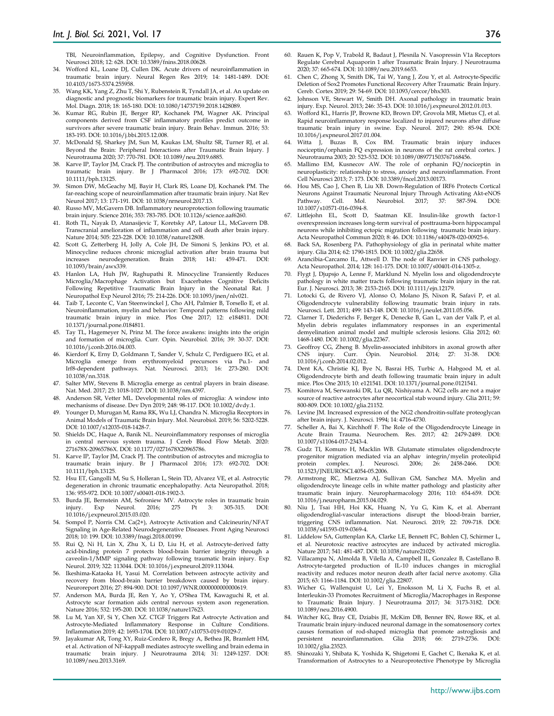TBI, Neuroinflammation, Epilepsy, and Cognitive Dysfunction. Front Neurosci 2018; 12: 628. DOI: 10.3389/fnins.2018.00628.

- 34. Wofford KL, Loane DJ, Cullen DK. Acute drivers of neuroinflammation in traumatic brain injury. Neural Regen Res 2019; 14: 1481-1489. DOI: 10.4103/1673-5374.255958.
- 35. Wang KK, Yang Z, Zhu T, Shi Y, Rubenstein R, Tyndall JA, et al. An update on diagnostic and prognostic biomarkers for traumatic brain injury. Expert Rev. Mol. Diagn. 2018; 18: 165-180. DOI: 10.1080/14737159.2018.1428089.
- 36. Kumar RG, Rubin JE, Berger RP, Kochanek PM, Wagner AK. Principal components derived from CSF inflammatory profiles predict outcome in survivors after severe traumatic brain injury. Brain Behav. Immun. 2016; 53: 183-193. DOI: 10.1016/j.bbi.2015.12.008.
- 37. McDonald SJ, Sharkey JM, Sun M, Kaukas LM, Shultz SR, Turner RJ, et al. Beyond the Brain: Peripheral Interactions after Traumatic Brain Injury. J Neurotrauma 2020; 37: 770-781. DOI: 10.1089/neu.2019.6885.
- 38. Karve IP, Taylor JM, Crack PJ. The contribution of astrocytes and microglia to traumatic brain injury. Br J Pharmacol 2016; 173: 692-702. DOI: 10.1111/bph.13125.
- 39. Simon DW, McGeachy MJ, Bayir H, Clark RS, Loane DJ, Kochanek PM. The far-reaching scope of neuroinflammation after traumatic brain injury. Nat Rev Neurol 2017; 13: 171-191. DOI: 10.1038/nrneurol.2017.13.
- 40. Russo MV, McGavern DB. Inflammatory neuroprotection following traumatic brain injury. Science 2016; 353: 783-785. DOI: 10.1126/science.aaf6260.
- 41. Roth TL, Nayak D, Atanasijevic T, Koretsky AP, Latour LL, McGavern DB. Transcranial amelioration of inflammation and cell death after brain injury. Nature 2014; 505: 223-228. DOI: 10.1038/nature12808.
- 42. Scott G, Zetterberg H, Jolly A, Cole JH, De Simoni S, Jenkins PO, et al. Minocycline reduces chronic microglial activation after brain trauma but increases neurodegeneration. Brain 2018; 141: 459-471. DOI: 10.1093/brain/awx339.
- 43. Hanlon LA, Huh JW, Raghupathi R. Minocycline Transiently Reduces Microglia/Macrophage Activation but Exacerbates Cognitive Deficits Following Repetitive Traumatic Brain Injury in the Neonatal Rat. J Neuropathol Exp Neurol 2016; 75: 214-226. DOI: 10.1093/jnen/nlv021.
- 44. Taib T, Leconte C, Van Steenwinckel J, Cho AH, Palmier B, Torsello E, et al. Neuroinflammation, myelin and behavior: Temporal patterns following mild traumatic brain injury in mice. Plos One 2017; 12: e184811. DOI: 10.1371/journal.pone.0184811.
- 45. Tay TL, Hagemeyer N, Prinz M. The force awakens: insights into the origin and formation of microglia. Curr. Opin. Neurobiol. 2016; 39: 30-37. DOI: 10.1016/j.conb.2016.04.003.
- 46. Kierdorf K, Erny D, Goldmann T, Sander V, Schulz C, Perdiguero EG, et al. Microglia emerge from erythromyeloid precursors via Pu.1-Irf8-dependent pathways. Nat. Neurosci. 2013; 16: 273-280. DOI: 10.1038/nn.3318.
- 47. Salter MW, Stevens B. Microglia emerge as central players in brain disease. Nat. Med. 2017; 23: 1018-1027. DOI: 10.1038/nm.4397.
- Anderson SR, Vetter ML. Developmental roles of microglia: A window into mechanisms of disease. Dev Dyn 2019; 248: 98-117. DOI: 10.1002/dvdy.1.
- 49. Younger D, Murugan M, Rama RK, Wu LJ, Chandra N. Microglia Receptors in Animal Models of Traumatic Brain Injury. Mol. Neurobiol. 2019; 56: 5202-5228. DOI: 10.1007/s12035-018-1428-7.
- 50. Shields DC, Haque A, Banik NL. Neuroinflammatory responses of microglia in central nervous system trauma. J Cereb Blood Flow Metab. 2020: 271678X-20965786X. DOI: 10.1177/0271678X20965786.
- 51. Karve IP, Taylor JM, Crack PJ. The contribution of astrocytes and microglia to traumatic brain injury. Br J Pharmacol 2016; 173: 692-702. DOI: 10.1111/bph.13125.
- 52. Hsu ET, Gangolli M, Su S, Holleran L, Stein TD, Alvarez VE, et al. Astrocytic degeneration in chronic traumatic encephalopathy. Acta Neuropathol. 2018; 136: 955-972. DOI: 10.1007/s00401-018-1902-3.
- 53. Burda JE, Bernstein AM, Sofroniew MV. Astrocyte roles in traumatic brain injury. Exp Neurol. 2016; 275 Pt 3: 305-315. DOI: 10.1016/j.expneurol.2015.03.020.
- Sompol P, Norris CM. Ca(2+), Astrocyte Activation and Calcineurin/NFAT Signaling in Age-Related Neurodegenerative Diseases. Front Aging Neurosci 2018; 10: 199. DOI: 10.3389/fnagi.2018.00199.
- 55. Rui Q, Ni H, Lin X, Zhu X, Li D, Liu H, et al. Astrocyte-derived fatty acid-binding protein 7 protects blood-brain barrier integrity through a caveolin-1/MMP signaling pathway following traumatic brain injury. Exp Neurol. 2019; 322: 113044. DOI: 10.1016/j.expneurol.2019.113044.
- 56. Ikeshima-Kataoka H, Yasui M. Correlation between astrocyte activity and recovery from blood-brain barrier breakdown caused by brain injury. Neuroreport 2016; 27: 894-900. DOI: 10.1097/WNR.0000000000000619.
- 57. Anderson MA, Burda JE, Ren Y, Ao Y, O'Shea TM, Kawaguchi R, et al. Astrocyte scar formation aids central nervous system axon regeneration. Nature 2016; 532: 195-200. DOI: 10.1038/nature17623.
- 58. Lu M, Yan XF, Si Y, Chen XZ. CTGF Triggers Rat Astrocyte Activation and Astrocyte-Mediated Inflammatory Response in Culture Conditions. Inflammation 2019; 42: 1693-1704. DOI: 10.1007/s10753-019-01029-7.
- 59. Jayakumar AR, Tong XY, Ruiz-Cordero R, Bregy A, Bethea JR, Bramlett HM, et al. Activation of NF-kappaB mediates astrocyte swelling and brain edema in traumatic brain injury. J Neurotrauma 2014; 31: 1249-1257. DOI: 10.1089/neu.2013.3169.
- 60. Rauen K, Pop V, Trabold R, Badaut J, Plesnila N. Vasopressin V1a Receptors Regulate Cerebral Aquaporin 1 after Traumatic Brain Injury. J Neurotrauma 2020; 37: 665-674. DOI: 10.1089/neu.2019.6653.
- 61. Chen C, Zhong X, Smith DK, Tai W, Yang J, Zou Y, et al. Astrocyte-Specific Deletion of Sox2 Promotes Functional Recovery After Traumatic Brain Injury. Cereb. Cortex 2019; 29: 54-69. DOI: 10.1093/cercor/bhx303.
- 62. Johnson VE, Stewart W, Smith DH. Axonal pathology in traumatic brain injury. Exp. Neurol. 2013; 246: 35-43. DOI: 10.1016/j.expneurol.2012.01.013.
- 63. Wofford KL, Harris JP, Browne KD, Brown DP, Grovola MR, Mietus CJ, et al. Rapid neuroinflammatory response localized to injured neurons after diffuse traumatic brain injury in swine. Exp. Neurol. 2017; 290: 85-94. DOI: 10.1016/j.expneurol.2017.01.004.
- 64. Witta J, Buzas B, Cox BM. Traumatic brain injury induces nociceptin/orphanin FQ expression in neurons of the rat cerebral cortex. J Neurotrauma 2003; 20: 523-532. DOI: 10.1089/089771503767168456.
- 65. Mallimo EM, Kusnecov AW. The role of orphanin FQ/nociceptin in neuroplasticity: relationship to stress, anxiety and neuroinflammation. Front Cell Neurosci 2013; 7: 173. DOI: 10.3389/fncel.2013.00173.
- 66. Hou MS, Cao J, Chen B, Liu XB. Down-Regulation of IRF6 Protects Cortical Neurons Against Traumatic Neuronal Injury Through Activating Akt-eNOS Pathway. Cell. Mol. Neurobiol. 2017; 37: 587-594. DOI: 10.1007/s10571-016-0394-8.
- 67. Littlejohn EL, Scott D, Saatman KE. Insulin-like growth factor-1 overexpression increases long-term survival of posttrauma-born hippocampal neurons while inhibiting ectopic migration following traumatic brain injury. Acta Neuropathol Commun 2020; 8: 46. DOI: 10.1186/s40478-020-00925-6.
- 68. Back SA, Rosenberg PA. Pathophysiology of glia in perinatal white matter injury. Glia 2014; 62: 1790-1815. DOI: 10.1002/glia.22658.
- 69. Arancibia-Carcamo IL, Attwell D. The node of Ranvier in CNS pathology. Acta Neuropathol. 2014; 128: 161-175. DOI: 10.1007/s00401-014-1305-z.
- 70. Flygt J, Djupsjo A, Lenne F, Marklund N. Myelin loss and oligodendrocyte pathology in white matter tracts following traumatic brain injury in the rat. Eur. J. Neurosci. 2013; 38: 2153-2165. DOI: 10.1111/ejn.12179.
- 71. Lotocki G, de Rivero VJ, Alonso O, Molano JS, Nixon R, Safavi P, et al. Oligodendrocyte vulnerability following traumatic brain injury in rats. Neurosci. Lett. 2011; 499: 143-148. DOI: 10.1016/j.neulet.2011.05.056.
- 72. Clarner T, Diederichs F, Berger K, Denecke B, Gan L, van der Valk P, et al. Myelin debris regulates inflammatory responses in an experimental demyelination animal model and multiple sclerosis lesions. Glia 2012; 60: 1468-1480. DOI: 10.1002/glia.22367.
- 73. Geoffroy CG, Zheng B. Myelin-associated inhibitors in axonal growth after CNS injury. Curr. Opin. Neurobiol. 2014; 27: 31-38. DOI: 10.1016/j.conb.2014.02.012.
- 74. Dent KA, Christie KJ, Bye N, Basrai HS, Turbic A, Habgood M, et al. Oligodendrocyte birth and death following traumatic brain injury in adult mice. Plos One 2015; 10: e121541. DOI: 10.1371/journal.pone.0121541.
- 75. Komitova M, Serwanski DR, Lu QR, Nishiyama A. NG2 cells are not a major source of reactive astrocytes after neocortical stab wound injury. Glia 2011; 59: 800-809. DOI: 10.1002/glia.21152.
- 76. Levine JM. Increased expression of the NG2 chondroitin-sulfate proteoglycan after brain injury. J. Neurosci. 1994; 14: 4716-4730.
- 77. Scheller A, Bai X, Kirchhoff F. The Role of the Oligodendrocyte Lineage in Acute Brain Trauma. Neurochem. Res. 2017; 42: 2479-2489. DOI: 10.1007/s11064-017-2343-4.
- 78. Gudz TI, Komuro H, Macklin WB. Glutamate stimulates oligodendrocyte progenitor migration mediated via an alphav integrin/myelin proteolipid<br>protein complex. J. Neurosci. 2006; 26: 2458-2466. DOI: complex. J. Neurosci. 2006; 26: 2458-2466. DOI: 10.1523/JNEUROSCI.4054-05.2006.
- 79. Armstrong RC, Mierzwa AJ, Sullivan GM, Sanchez MA. Myelin and oligodendrocyte lineage cells in white matter pathology and plasticity after traumatic brain injury. Neuropharmacology 2016; 110: 654-659. DOI: 10.1016/j.neuropharm.2015.04.029.
- 80. Niu J, Tsai HH, Hoi KK, Huang N, Yu G, Kim K, et al. Aberrant oligodendroglial-vascular interactions disrupt the blood-brain barrier, triggering CNS inflammation. Nat. Neurosci. 2019; 22: 709-718. DOI: 10.1038/s41593-019-0369-4.
- 81. Liddelow SA, Guttenplan KA, Clarke LE, Bennett FC, Bohlen CJ, Schirmer L, et al. Neurotoxic reactive astrocytes are induced by activated microglia. Nature 2017; 541: 481-487. DOI: 10.1038/nature21029.
- 82. Villacampa N, Almolda B, Vilella A, Campbell IL, Gonzalez B, Castellano B. Astrocyte-targeted production of IL-10 induces changes in microglial reactivity and reduces motor neuron death after facial nerve axotomy. Glia 2015; 63: 1166-1184. DOI: 10.1002/glia.22807.
- 83. Wicher G, Wallenquist U, Lei Y, Enoksson M, Li X, Fuchs B, et al. Interleukin-33 Promotes Recruitment of Microglia/Macrophages in Response to Traumatic Brain Injury. J Neurotrauma 2017; 34: 3173-3182. DOI: 10.1089/neu.2016.4900.
- 84. Witcher KG, Bray CE, Dziabis JE, McKim DB, Benner BN, Rowe RK, et al. Traumatic brain injury-induced neuronal damage in the somatosensory cortex causes formation of rod-shaped microglia that promote astrogliosis and persistent neuroinflammation. Glia 2018; 66: 2719-2736. DOI: persistent neuroinflammation. Glia 2018; 66: 2719-2736. DOI: 10.1002/glia.23523.
- 85. Shinozaki Y, Shibata K, Yoshida K, Shigetomi E, Gachet C, Ikenaka K, et al. Transformation of Astrocytes to a Neuroprotective Phenotype by Microglia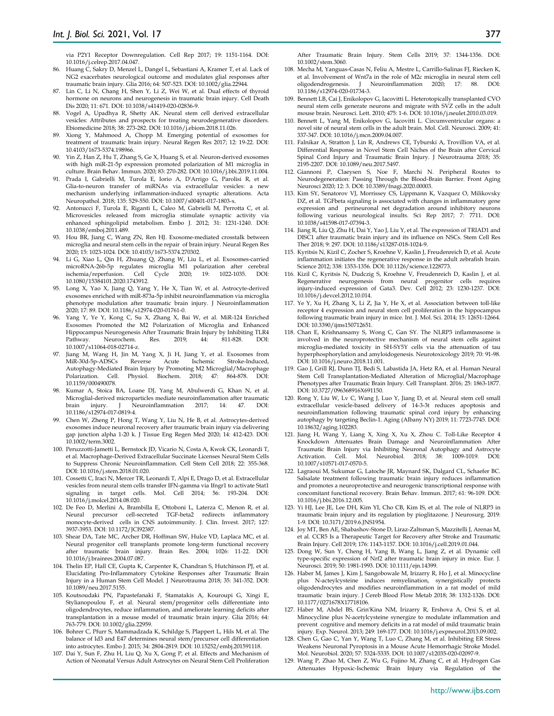via P2Y1 Receptor Downregulation. Cell Rep 2017; 19: 1151-1164. DOI: 10.1016/j.celrep.2017.04.047.

- 86. Huang C, Sakry D, Menzel L, Dangel L, Sebastiani A, Kramer T, et al. Lack of NG2 exacerbates neurological outcome and modulates glial responses after traumatic brain injury. Glia 2016; 64: 507-523. DOI: 10.1002/glia.22944.
- 87. Lin C, Li N, Chang H, Shen Y, Li Z, Wei W, et al. Dual effects of thyroid hormone on neurons and neurogenesis in traumatic brain injury. Cell Death Dis 2020; 11: 671. DOI: 10.1038/s41419-020-02836-9.
- 88. Vogel A, Upadhya R, Shetty AK. Neural stem cell derived extracellular vesicles: Attributes and prospects for treating neurodegenerative disorders. Ebiomedicine 2018; 38: 273-282. DOI: 10.1016/j.ebiom.2018.11.026.
- 89. Xiong Y, Mahmood A, Chopp M. Emerging potential of exosomes for treatment of traumatic brain injury. Neural Regen Res 2017; 12: 19-22. DOI: 10.4103/1673-5374.198966.
- Yin Z, Han Z, Hu T, Zhang S, Ge X, Huang S, et al. Neuron-derived exosomes with high miR-21-5p expression promoted polarization of M1 microglia in culture. Brain Behav. Immun. 2020; 83: 270-282. DOI: 10.1016/j.bbi.2019.11.004.
- 91. Prada I, Gabrielli M, Turola E, Iorio A, D'Arrigo G, Parolisi R, et al. Glia-to-neuron transfer of miRNAs via extracellular vesicles: a new mechanism underlying inflammation-induced synaptic alterations. Acta Neuropathol. 2018; 135: 529-550. DOI: 10.1007/s00401-017-1803-x.
- 92. Antonucci F, Turola E, Riganti L, Caleo M, Gabrielli M, Perrotta C, et al. Microvesicles released from microglia stimulate synaptic activity via enhanced sphingolipid metabolism. Embo J. 2012; 31: 1231-1240. DOI: 10.1038/emboj.2011.489.
- 93. Hou BR, Jiang C, Wang ZN, Ren HJ. Exosome-mediated crosstalk between microglia and neural stem cells in the repair of brain injury. Neural Regen Res 2020; 15: 1023-1024. DOI: 10.4103/1673-5374.270302.
- 94. Li G, Xiao L, Qin H, Zhuang Q, Zhang W, Liu L, et al. Exosomes-carried microRNA-26b-5p regulates microglia M1 polarization after cerebral ischemia/reperfusion. Cell Cycle 2020; 19: 1022-1035. DOI: 10.1080/15384101.2020.1743912.
- 95. Long X, Yao X, Jiang Q, Yang Y, He X, Tian W, et al. Astrocyte-derived exosomes enriched with miR-873a-5p inhibit neuroinflammation via microglia phenotype modulation after traumatic brain injury. J Neuroinflammation 2020; 17: 89. DOI: 10.1186/s12974-020-01761-0.
- 96. Yang Y, Ye Y, Kong C, Su X, Zhang X, Bai W, et al. MiR-124 Enriched Exosomes Promoted the M2 Polarization of Microglia and Enhanced Hippocampus Neurogenesis After Traumatic Brain Injury by Inhibiting TLR4 Pathway. Neurochem. Res. 2019; 44: 811-828. DOI: 10.1007/s11064-018-02714-z.
- 97. Jiang M, Wang H, Jin M, Yang X, Ji H, Jiang Y, et al. Exosomes from MiR-30d-5p-ADSCs Reverse Acute Ischemic Stroke-Induced, Autophagy-Mediated Brain Injury by Promoting M2 Microglial/Macrophage Polarization. Cell. Physiol. Biochem. 2018; 47: 864-878. DOI: 10.1159/000490078.
- Kumar A, Stoica BA, Loane DJ, Yang M, Abulwerdi G, Khan N, et al. Microglial-derived microparticles mediate neuroinflammation after traumatic<br>brain injury. J Neuroinflammation 2017; 14: 47. DOI:  $N$ euroinflammation 10.1186/s12974-017-0819-4.
- 99. Chen W, Zheng P, Hong T, Wang Y, Liu N, He B, et al. Astrocytes-derived exosomes induce neuronal recovery after traumatic brain injury via delivering gap junction alpha 1-20 k. J Tissue Eng Regen Med 2020; 14: 412-423. DOI: 10.1002/term.3002.
- 100. Peruzzotti-Jametti L, Bernstock JD, Vicario N, Costa A, Kwok CK, Leonardi T, et al. Macrophage-Derived Extracellular Succinate Licenses Neural Stem Cells to Suppress Chronic Neuroinflammation. Cell Stem Cell 2018; 22: 355-368. DOI: 10.1016/j.stem.2018.01.020.
- 101. Cossetti C, Iraci N, Mercer TR, Leonardi T, Alpi E, Drago D, et al. Extracellular vesicles from neural stem cells transfer IFN-gamma via Ifngr1 to activate Stat1 signaling in target cells. Mol. Cell 2014; 56: 193-204. DOI: 10.1016/j.molcel.2014.08.020.
- 102. De Feo D, Merlini A, Brambilla E, Ottoboni L, Laterza C, Menon R, et al. Neural precursor cell-secreted TGF-beta2 redirects inflammatory monocyte-derived cells in CNS autoimmunity. J. Clin. Invest. 2017; 127: 3937-3953. DOI: 10.1172/JCI92387.
- 103. Shear DA, Tate MC, Archer DR, Hoffman SW, Hulce VD, Laplaca MC, et al. Neural progenitor cell transplants promote long-term functional recovery after traumatic brain injury. Brain Res. 2004; 1026: 11-22. DOI: 10.1016/j.brainres.2004.07.087.
- 104. Thelin EP, Hall CE, Gupta K, Carpenter K, Chandran S, Hutchinson PJ, et al. Elucidating Pro-Inflammatory Cytokine Responses after Traumatic Brain Injury in a Human Stem Cell Model. J Neurotrauma 2018; 35: 341-352. DOI: 10.1089/neu.2017.5155.
- 105. Koutsoudaki PN, Papastefanaki F, Stamatakis A, Kouroupi G, Xingi E, Stylianopoulou F, et al. Neural stem/progenitor cells differentiate into oligodendrocytes, reduce inflammation, and ameliorate learning deficits after transplantation in a mouse model of traumatic brain injury. Glia 2016; 64: 763-779. DOI: 10.1002/glia.22959.
- 106. Bohrer C, Pfurr S, Mammadzada K, Schildge S, Plappert L, Hils M, et al. The balance of Id3 and E47 determines neural stem/precursor cell differentiation into astrocytes. Embo J. 2015; 34: 2804-2819. DOI: 10.15252/embj.201591118.
- 107. Dai Y, Sun F, Zhu H, Liu Q, Xu X, Gong P, et al. Effects and Mechanism of Action of Neonatal Versus Adult Astrocytes on Neural Stem Cell Proliferation

After Traumatic Brain Injury. Stem Cells 2019; 37: 1344-1356. DOI: 10.1002/stem.3060.

- 108. Mecha M, Yanguas-Casas N, Feliu A, Mestre L, Carrillo-Salinas FJ, Riecken K, et al. Involvement of Wnt7a in the role of M2c microglia in neural stem cell oligodendrogenesis. J Neuroinflammation 2020; 17: 88. DOI: 10.1186/s12974-020-01734-3.
- 109. Bennett LB, Cai J, Enikolopov G, Iacovitti L. Heterotopically transplanted CVO neural stem cells generate neurons and migrate with SVZ cells in the adult mouse brain. Neurosci. Lett. 2010; 475: 1-6. DOI: 10.1016/j.neulet.2010.03.019.
- 110. Bennett L, Yang M, Enikolopov G, Iacovitti L. Circumventricular organs: a novel site of neural stem cells in the adult brain. Mol. Cell. Neurosci. 2009; 41: 337-347. DOI: 10.1016/j.mcn.2009.04.007.
- 111. Falnikar A, Stratton J, Lin R, Andrews CE, Tyburski A, Trovillion VA, et al. Differential Response in Novel Stem Cell Niches of the Brain after Cervical Spinal Cord Injury and Traumatic Brain Injury. J Neurotrauma 2018; 35: 2195-2207. DOI: 10.1089/neu.2017.5497.
- 112. Giannoni P, Claeysen S, Noe F, Marchi N. Peripheral Routes to Neurodegeneration: Passing Through the Blood-Brain Barrier. Front Aging Neurosci 2020; 12: 3. DOI: 10.3389/fnagi.2020.00003.
- 113. Kim SY, Senatorov VJ, Morrissey CS, Lippmann K, Vazquez O, Milikovsky DZ, et al. TGFbeta signaling is associated with changes in inflammatory gene expression and perineuronal net degradation around inhibitory neurons following various neurological insults. Sci Rep 2017; 7: 7711. DOI: 10.1038/s41598-017-07394-3.
- 114. Jiang R, Liu Q, Zhu H, Dai Y, Yao J, Liu Y, et al. The expression of TRIAD1 and DISC1 after traumatic brain injury and its influence on NSCs. Stem Cell Res Ther 2018; 9: 297. DOI: 10.1186/s13287-018-1024-9.
- 115. Kyritsis N, Kizil C, Zocher S, Kroehne V, Kaslin J, Freudenreich D, et al. Acute inflammation initiates the regenerative response in the adult zebrafish brain. Science 2012; 338: 1353-1356. DOI: 10.1126/science.1228773.
- 116. Kizil C, Kyritsis N, Dudczig S, Kroehne V, Freudenreich D, Kaslin J, et al. Regenerative neurogenesis from neural progenitor cells requires injury-induced expression of Gata3. Dev. Cell 2012; 23: 1230-1237. DOI: 10.1016/j.devcel.2012.10.014.
- 117. Ye Y, Xu H, Zhang X, Li Z, Jia Y, He X, et al. Association between toll-like receptor 4 expression and neural stem cell proliferation in the hippocampus following traumatic brain injury in mice. Int. J. Mol. Sci. 2014; 15: 12651-12664. DOI: 10.3390/ijms150712651.
- 118. Chan E, Krishnansamy S, Wong C, Gan SY. The NLRP3 inflammasome is involved in the neuroprotective mechanism of neural stem cells against microglia-mediated toxicity in SH-SY5Y cells via the attenuation of tau hyperphosphorylation and amyloidogenesis. Neurotoxicology 2019; 70: 91-98. DOI: 10.1016/j.neuro.2018.11.001.
- 119. Gao J, Grill RJ, Dunn TJ, Bedi S, Labastida JA, Hetz RA, et al. Human Neural Stem Cell Transplantation-Mediated Alteration of Microglial/Macrophage Phenotypes after Traumatic Brain Injury. Cell Transplant. 2016; 25: 1863-1877. DOI: 10.3727/096368916X691150.
- 120. Rong Y, Liu W, Lv C, Wang J, Luo Y, Jiang D, et al. Neural stem cell small extracellular vesicle-based delivery of 14-3-3t reduces apoptosis and neuroinflammation following traumatic spinal cord injury by enhancing autophagy by targeting Beclin-1. Aging (Albany NY) 2019; 11: 7723-7745. DOI: 10.18632/aging.102283.
- 121. Jiang H, Wang Y, Liang X, Xing X, Xu X, Zhou C. Toll-Like Receptor 4 Knockdown Attenuates Brain Damage and Neuroinflammation After Traumatic Brain Injury via Inhibiting Neuronal Autophagy and Astrocyte Neurobiol. 2018; 38: 1009-1019. DOI: 10.1007/s10571-017-0570-5.
- 122. Lagraoui M, Sukumar G, Latoche JR, Maynard SK, Dalgard CL, Schaefer BC. Salsalate treatment following traumatic brain injury reduces inflammation and promotes a neuroprotective and neurogenic transcriptional response with concomitant functional recovery. Brain Behav. Immun. 2017; 61: 96-109. DOI: 10.1016/j.bbi.2016.12.005.
- 123. Yi HJ, Lee JE, Lee DH, Kim YI, Cho CB, Kim IS, et al. The role of NLRP3 in traumatic brain injury and its regulation by pioglitazone. J Neurosurg. 2019: 1-9. DOI: 10.3171/2019.6.JNS1954.
- 124. Joy MT, Ben AE, Shabashov-Stone D, Liraz-Zaltsman S, Mazzitelli J, Arenas M, et al. CCR5 Is a Therapeutic Target for Recovery after Stroke and Traumatic Brain Injury. Cell 2019; 176: 1143-1157. DOI: 10.1016/j.cell.2019.01.044.
- 125. Dong W, Sun Y, Cheng H, Yang B, Wang L, Jiang Z, et al. Dynamic cell type-specific expression of Nrf2 after traumatic brain injury in mice. Eur. J. Neurosci. 2019; 50: 1981-1993. DOI: 10.1111/ejn.14399.
- 126. Haber M, James J, Kim J, Sangobowale M, Irizarry R, Ho J, et al. Minocycline plus N-acteylcysteine induces remyelination, synergistically protects oligodendrocytes and modifies neuroinflammation in a rat model of mild traumatic brain injury. J Cereb Blood Flow Metab 2018; 38: 1312-1326. DOI: 10.1177/0271678X17718106.
- 127. Haber M, Abdel BS, Grin'Kina NM, Irizarry R, Ershova A, Orsi S, et al. Minocycline plus N-acetylcysteine synergize to modulate inflammation and prevent cognitive and memory deficits in a rat model of mild traumatic brain injury. Exp. Neurol. 2013; 249: 169-177. DOI: 10.1016/j.expneurol.2013.09.002.
- 128. Chen G, Gao C, Yan Y, Wang T, Luo C, Zhang M, et al. Inhibiting ER Stress Weakens Neuronal Pyroptosis in a Mouse Acute Hemorrhagic Stroke Model. Mol. Neurobiol. 2020; 57: 5324-5335. DOI: 10.1007/s12035-020-02097-9.
- 129. Wang P, Zhao M, Chen Z, Wu G, Fujino M, Zhang C, et al. Hydrogen Gas Attenuates Hypoxic-Ischemic Brain Injury via Regulation of the